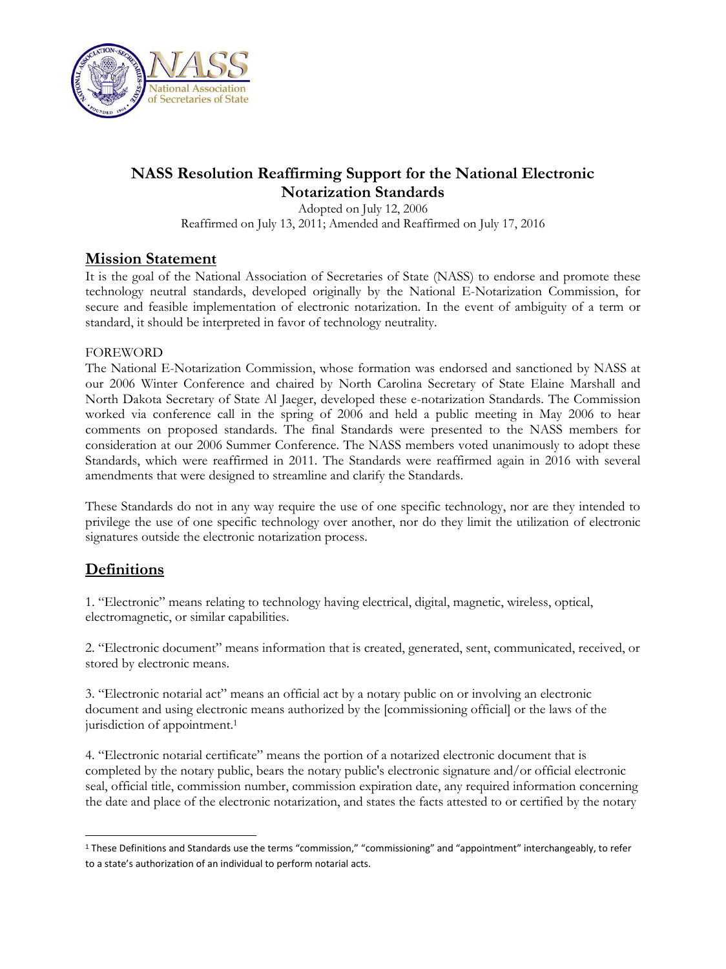

# **NASS Resolution Reaffirming Support for the National Electronic Notarization Standards**

Adopted on July 12, 2006 Reaffirmed on July 13, 2011; Amended and Reaffirmed on July 17, 2016

### **Mission Statement**

It is the goal of the National Association of Secretaries of State (NASS) to endorse and promote these technology neutral standards, developed originally by the National E-Notarization Commission, for secure and feasible implementation of electronic notarization. In the event of ambiguity of a term or standard, it should be interpreted in favor of technology neutrality.

### **FOREWORD**

The National E-Notarization Commission, whose formation was endorsed and sanctioned by NASS at our 2006 Winter Conference and chaired by North Carolina Secretary of State Elaine Marshall and North Dakota Secretary of State Al Jaeger, developed these e-notarization Standards. The Commission worked via conference call in the spring of 2006 and held a public meeting in May 2006 to hear comments on proposed standards. The final Standards were presented to the NASS members for consideration at our 2006 Summer Conference. The NASS members voted unanimously to adopt these Standards, which were reaffirmed in 2011. The Standards were reaffirmed again in 2016 with several amendments that were designed to streamline and clarify the Standards.

These Standards do not in any way require the use of one specific technology, nor are they intended to privilege the use of one specific technology over another, nor do they limit the utilization of electronic signatures outside the electronic notarization process.

# **Definitions**

1. "Electronic" means relating to technology having electrical, digital, magnetic, wireless, optical, electromagnetic, or similar capabilities.

2. "Electronic document" means information that is created, generated, sent, communicated, received, or stored by electronic means.

3. "Electronic notarial act" means an official act by a notary public on or involving an electronic document and using electronic means authorized by the [commissioning official] or the laws of the jurisdiction of appointment.<sup>1</sup>

4. "Electronic notarial certificate" means the portion of a notarized electronic document that is completed by the notary public, bears the notary public's electronic signature and/or official electronic seal, official title, commission number, commission expiration date, any required information concerning the date and place of the electronic notarization, and states the facts attested to or certified by the notary

 $\overline{\phantom{a}}$ <sup>1</sup> These Definitions and Standards use the terms "commission," "commissioning" and "appointment" interchangeably, to refer to a state's authorization of an individual to perform notarial acts.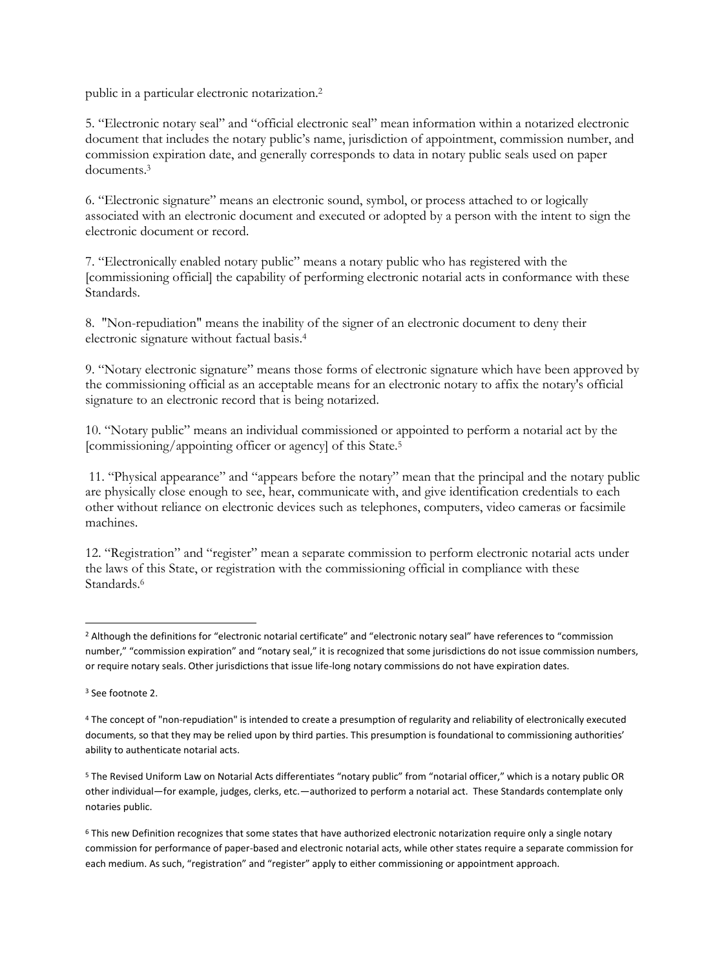public in a particular electronic notarization.<sup>2</sup>

5. "Electronic notary seal" and "official electronic seal" mean information within a notarized electronic document that includes the notary public's name, jurisdiction of appointment, commission number, and commission expiration date, and generally corresponds to data in notary public seals used on paper documents.<sup>3</sup>

6. "Electronic signature" means an electronic sound, symbol, or process attached to or logically associated with an electronic document and executed or adopted by a person with the intent to sign the electronic document or record.

7. "Electronically enabled notary public" means a notary public who has registered with the [commissioning official] the capability of performing electronic notarial acts in conformance with these Standards.

8. "Non-repudiation" means the inability of the signer of an electronic document to deny their electronic signature without factual basis.<sup>4</sup>

9. "Notary electronic signature" means those forms of electronic signature which have been approved by the commissioning official as an acceptable means for an electronic notary to affix the notary's official signature to an electronic record that is being notarized.

10. "Notary public" means an individual commissioned or appointed to perform a notarial act by the [commissioning/appointing officer or agency] of this State.<sup>5</sup>

11. "Physical appearance" and "appears before the notary" mean that the principal and the notary public are physically close enough to see, hear, communicate with, and give identification credentials to each other without reliance on electronic devices such as telephones, computers, video cameras or facsimile machines.

12. "Registration" and "register" mean a separate commission to perform electronic notarial acts under the laws of this State, or registration with the commissioning official in compliance with these Standards.<sup>6</sup>

 $\overline{\phantom{a}}$ 

<sup>5</sup> The Revised Uniform Law on Notarial Acts differentiates "notary public" from "notarial officer," which is a notary public OR other individual—for example, judges, clerks, etc.—authorized to perform a notarial act. These Standards contemplate only notaries public.

<sup>&</sup>lt;sup>2</sup> Although the definitions for "electronic notarial certificate" and "electronic notary seal" have references to "commission number," "commission expiration" and "notary seal," it is recognized that some jurisdictions do not issue commission numbers, or require notary seals. Other jurisdictions that issue life-long notary commissions do not have expiration dates.

<sup>3</sup> See footnote 2.

<sup>4</sup> The concept of "non-repudiation" is intended to create a presumption of regularity and reliability of electronically executed documents, so that they may be relied upon by third parties. This presumption is foundational to commissioning authorities' ability to authenticate notarial acts.

<sup>6</sup> This new Definition recognizes that some states that have authorized electronic notarization require only a single notary commission for performance of paper-based and electronic notarial acts, while other states require a separate commission for each medium. As such, "registration" and "register" apply to either commissioning or appointment approach.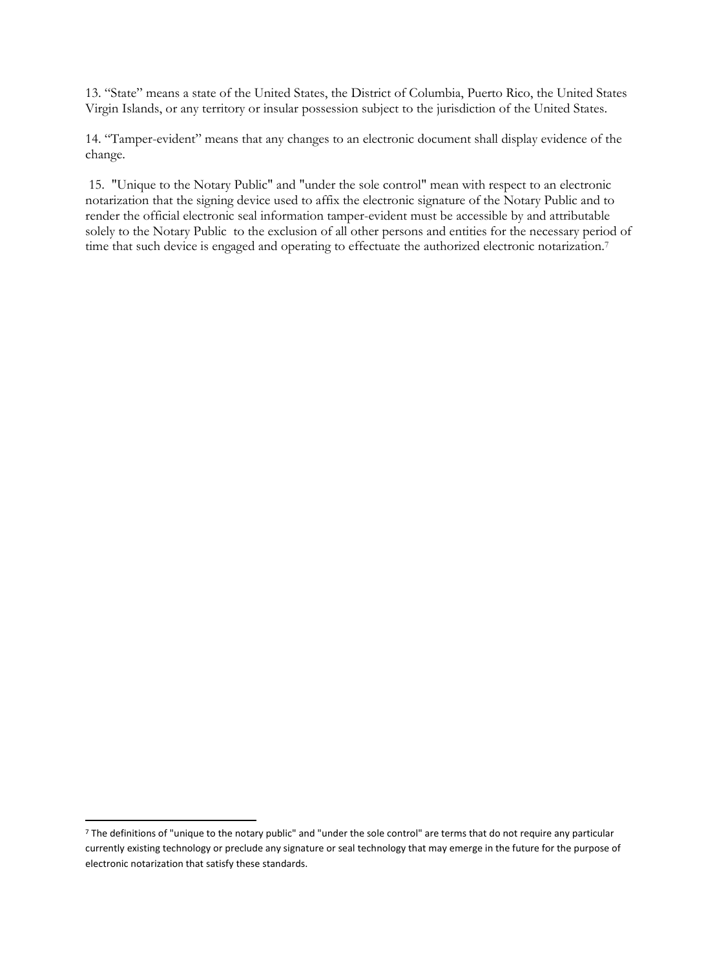13. "State" means a state of the United States, the District of Columbia, Puerto Rico, the United States Virgin Islands, or any territory or insular possession subject to the jurisdiction of the United States.

14. "Tamper-evident" means that any changes to an electronic document shall display evidence of the change.

15. "Unique to the Notary Public" and "under the sole control" mean with respect to an electronic notarization that the signing device used to affix the electronic signature of the Notary Public and to render the official electronic seal information tamper-evident must be accessible by and attributable solely to the Notary Public to the exclusion of all other persons and entities for the necessary period of time that such device is engaged and operating to effectuate the authorized electronic notarization.<sup>7</sup>

 $\overline{\phantom{a}}$ 

<sup>7</sup> The definitions of "unique to the notary public" and "under the sole control" are terms that do not require any particular currently existing technology or preclude any signature or seal technology that may emerge in the future for the purpose of electronic notarization that satisfy these standards.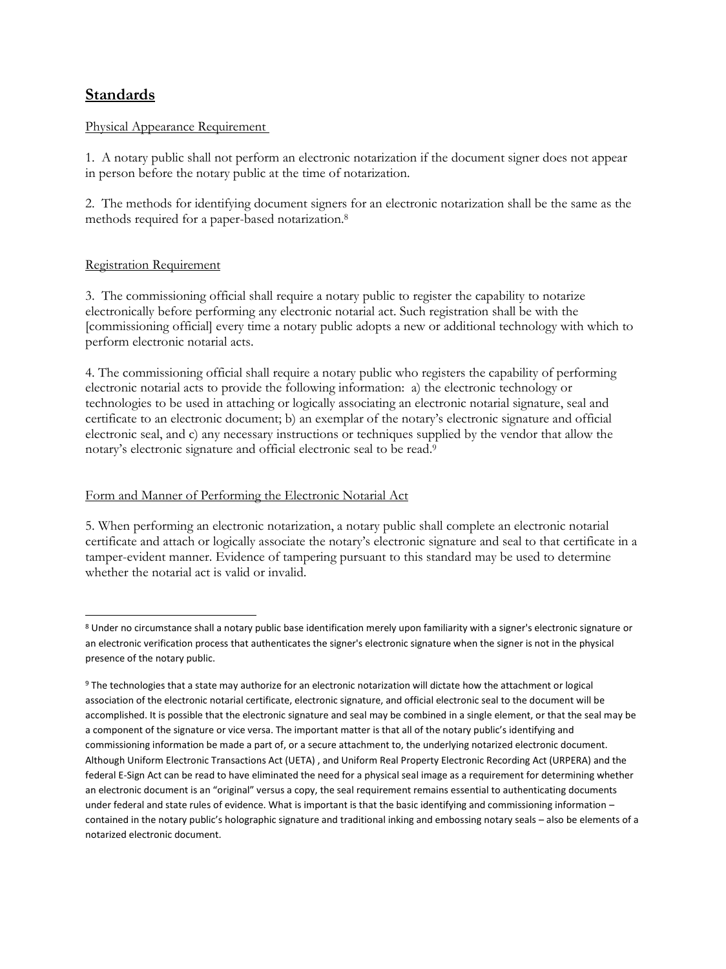## **Standards**

#### Physical Appearance Requirement

1. A notary public shall not perform an electronic notarization if the document signer does not appear in person before the notary public at the time of notarization.

2. The methods for identifying document signers for an electronic notarization shall be the same as the methods required for a paper-based notarization. 8

#### Registration Requirement

 $\overline{\phantom{a}}$ 

3. The commissioning official shall require a notary public to register the capability to notarize electronically before performing any electronic notarial act. Such registration shall be with the [commissioning official] every time a notary public adopts a new or additional technology with which to perform electronic notarial acts.

4. The commissioning official shall require a notary public who registers the capability of performing electronic notarial acts to provide the following information: a) the electronic technology or technologies to be used in attaching or logically associating an electronic notarial signature, seal and certificate to an electronic document; b) an exemplar of the notary's electronic signature and official electronic seal, and c) any necessary instructions or techniques supplied by the vendor that allow the notary's electronic signature and official electronic seal to be read.<sup>9</sup>

#### Form and Manner of Performing the Electronic Notarial Act

5. When performing an electronic notarization, a notary public shall complete an electronic notarial certificate and attach or logically associate the notary's electronic signature and seal to that certificate in a tamper-evident manner. Evidence of tampering pursuant to this standard may be used to determine whether the notarial act is valid or invalid.

<sup>8</sup> Under no circumstance shall a notary public base identification merely upon familiarity with a signer's electronic signature or an electronic verification process that authenticates the signer's electronic signature when the signer is not in the physical presence of the notary public.

<sup>&</sup>lt;sup>9</sup> The technologies that a state may authorize for an electronic notarization will dictate how the attachment or logical association of the electronic notarial certificate, electronic signature, and official electronic seal to the document will be accomplished. It is possible that the electronic signature and seal may be combined in a single element, or that the seal may be a component of the signature or vice versa. The important matter is that all of the notary public's identifying and commissioning information be made a part of, or a secure attachment to, the underlying notarized electronic document. Although Uniform Electronic Transactions Act (UETA) , and Uniform Real Property Electronic Recording Act (URPERA) and the federal E-Sign Act can be read to have eliminated the need for a physical seal image as a requirement for determining whether an electronic document is an "original" versus a copy, the seal requirement remains essential to authenticating documents under federal and state rules of evidence. What is important is that the basic identifying and commissioning information – contained in the notary public's holographic signature and traditional inking and embossing notary seals – also be elements of a notarized electronic document.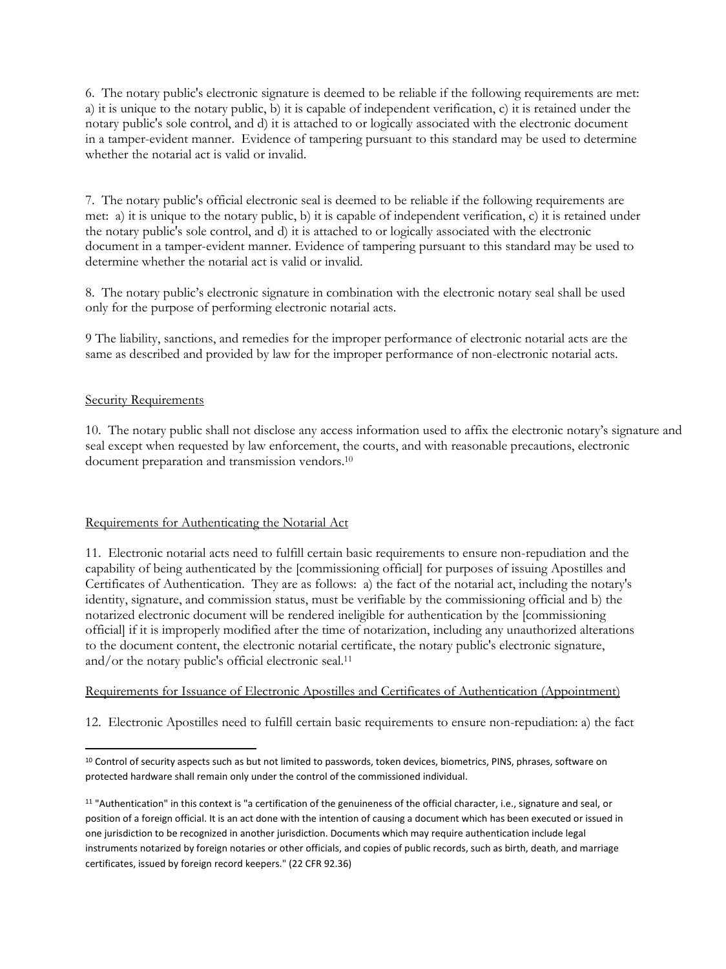6. The notary public's electronic signature is deemed to be reliable if the following requirements are met: a) it is unique to the notary public, b) it is capable of independent verification, c) it is retained under the notary public's sole control, and d) it is attached to or logically associated with the electronic document in a tamper-evident manner. Evidence of tampering pursuant to this standard may be used to determine whether the notarial act is valid or invalid.

7. The notary public's official electronic seal is deemed to be reliable if the following requirements are met: a) it is unique to the notary public, b) it is capable of independent verification, c) it is retained under the notary public's sole control, and d) it is attached to or logically associated with the electronic document in a tamper-evident manner. Evidence of tampering pursuant to this standard may be used to determine whether the notarial act is valid or invalid.

8. The notary public's electronic signature in combination with the electronic notary seal shall be used only for the purpose of performing electronic notarial acts.

9 The liability, sanctions, and remedies for the improper performance of electronic notarial acts are the same as described and provided by law for the improper performance of non-electronic notarial acts.

### Security Requirements

 $\overline{a}$ 

10. The notary public shall not disclose any access information used to affix the electronic notary's signature and seal except when requested by law enforcement, the courts, and with reasonable precautions, electronic document preparation and transmission vendors.<sup>10</sup>

#### Requirements for Authenticating the Notarial Act

11. Electronic notarial acts need to fulfill certain basic requirements to ensure non-repudiation and the capability of being authenticated by the [commissioning official] for purposes of issuing Apostilles and Certificates of Authentication. They are as follows: a) the fact of the notarial act, including the notary's identity, signature, and commission status, must be verifiable by the commissioning official and b) the notarized electronic document will be rendered ineligible for authentication by the [commissioning official] if it is improperly modified after the time of notarization, including any unauthorized alterations to the document content, the electronic notarial certificate, the notary public's electronic signature, and/or the notary public's official electronic seal.<sup>11</sup>

### Requirements for Issuance of Electronic Apostilles and Certificates of Authentication (Appointment)

12. Electronic Apostilles need to fulfill certain basic requirements to ensure non-repudiation: a) the fact

<sup>&</sup>lt;sup>10</sup> Control of security aspects such as but not limited to passwords, token devices, biometrics, PINS, phrases, software on protected hardware shall remain only under the control of the commissioned individual.

<sup>&</sup>lt;sup>11</sup> "Authentication" in this context is "a certification of the genuineness of the official character, i.e., signature and seal, or position of a foreign official. It is an act done with the intention of causing a document which has been executed or issued in one jurisdiction to be recognized in another jurisdiction. Documents which may require authentication include legal instruments notarized by foreign notaries or other officials, and copies of public records, such as birth, death, and marriage certificates, issued by foreign record keepers." (22 CFR 92.36)